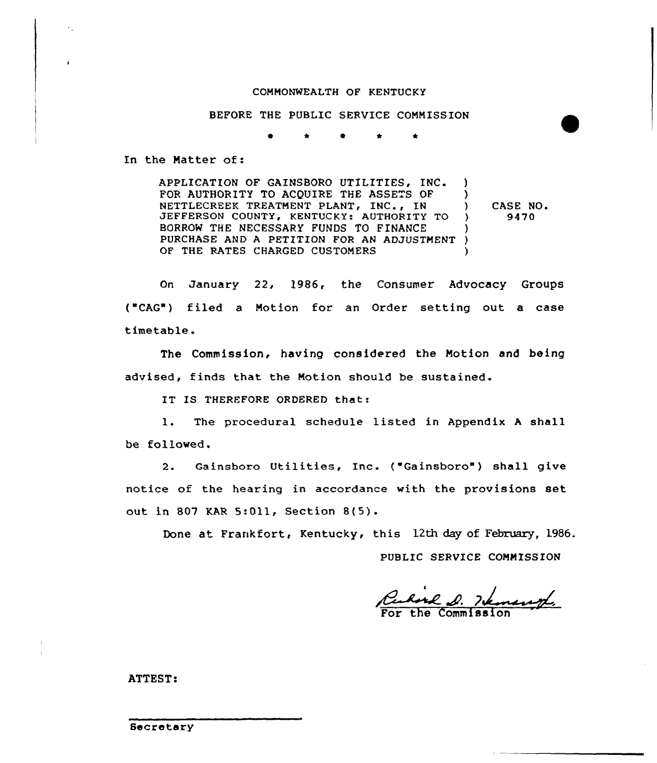## COMMONWEALTH OF KENTUCKY

BEFORE THE PUBLIC SERVICE CONNISSION

0 \* 0 \* \*

In the Matter of:

APPLICATION OF GAINSBORO UTILITIES, INC. FOR AUTHORITY TO ACQUIRE THE ASSETS OF NETTLECREEK TREATMENT PLANT, INC., IN JEFFERSON COUNTY, KENTUCKY: AUTHORITY TO BORROW THE NECESSARY FUNDS TO FINANCE BURRUW INE NECESSARI FUNDS IU FINANCE<br>PURCHASE AND A PETITION FOR AN ADJUSTMENT ) OF THE RATES CHARGED CUSTONERS )  $\left\{ \right.$ ) ) CASE NO. ) 9470 )

On January 22, 1986, the Consumer Advocacy Groups ("CAG") filed a Motion for an Order setting out a case timetable.

The Commission, having considered the Motion and being advised, finds that the Motion should be sustained.

IT IS THEREFORE ORDERED that:

1. The procedural schedule listed in Appendix <sup>A</sup> shall be followed.

2. Gainsboro Utilities, Inc. ("Gainsboro") shall give notice of the hearing in accordance with the provisions set out in 807 KAR 5:011, Section 8(5).

Done at Frankfort, Kentucky, this 12th day of February, 1986.

PUBLIC SERVICE COMMISSION

For the Commissic

ATTEST: